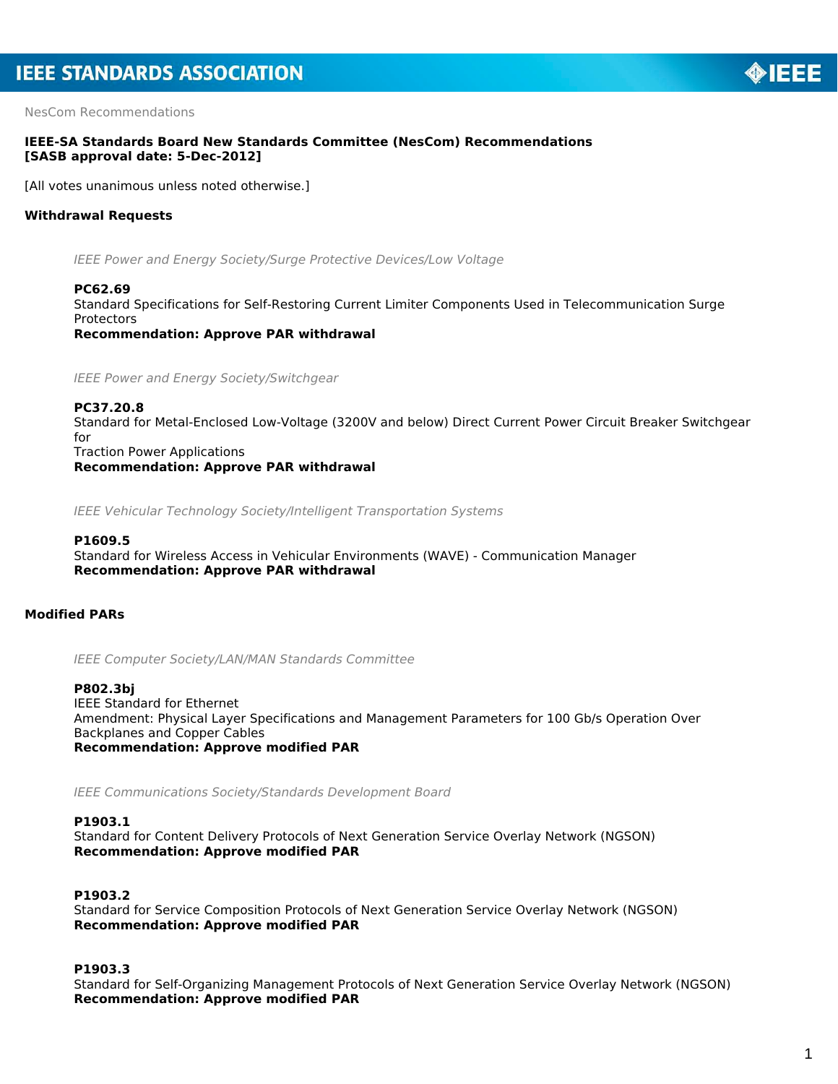NesCom Recommendations

## **IEEE-SA Standards Board New Standards Committee (NesCom) Recommendations [SASB approval date: 5-Dec-2012]**

[All votes unanimous unless noted otherwise.]

## **Withdrawal Requests**

*IEEE Power and Energy Society/Surge Protective Devices/Low Voltage*

## **PC62.69**

Standard Specifications for Self-Restoring Current Limiter Components Used in Telecommunication Surge **Protectors** 

*Recommendation: Approve PAR withdrawal*

*IEEE Power and Energy Society/Switchgear*

#### **PC37.20.8**

Standard for Metal-Enclosed Low-Voltage (3200V and below) Direct Current Power Circuit Breaker Switchgear for Traction Power Applications

*Recommendation: Approve PAR withdrawal*

*IEEE Vehicular Technology Society/Intelligent Transportation Systems*

## **P1609.5**

Standard for Wireless Access in Vehicular Environments (WAVE) - Communication Manager *Recommendation: Approve PAR withdrawal*

## **Modified PARs**

*IEEE Computer Society/LAN/MAN Standards Committee*

#### **P802.3bj**

IEEE Standard for Ethernet Amendment: Physical Layer Specifications and Management Parameters for 100 Gb/s Operation Over Backplanes and Copper Cables *Recommendation: Approve modified PAR*

*IEEE Communications Society/Standards Development Board*

## **P1903.1**

Standard for Content Delivery Protocols of Next Generation Service Overlay Network (NGSON) *Recommendation: Approve modified PAR*

## **P1903.2**

Standard for Service Composition Protocols of Next Generation Service Overlay Network (NGSON) *Recommendation: Approve modified PAR*

## **P1903.3**

Standard for Self-Organizing Management Protocols of Next Generation Service Overlay Network (NGSON) *Recommendation: Approve modified PAR*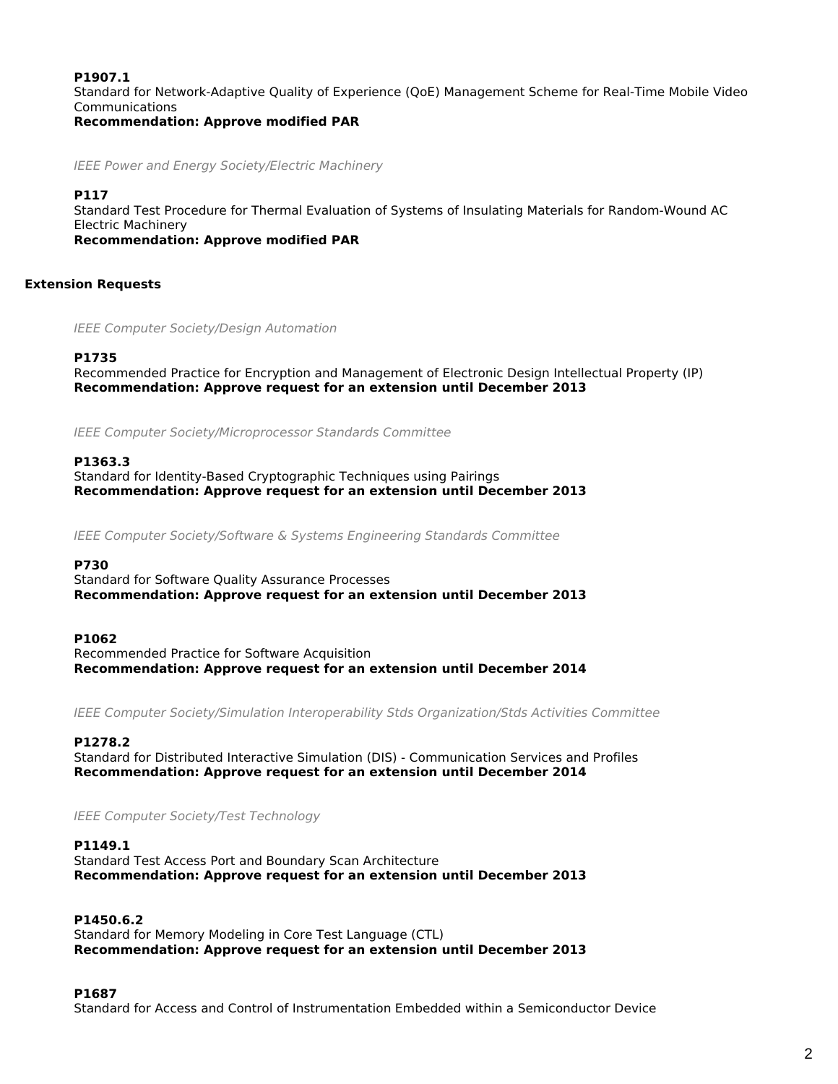## **P1907.1**

Standard for Network-Adaptive Quality of Experience (QoE) Management Scheme for Real-Time Mobile Video Communications

*Recommendation: Approve modified PAR*

*IEEE Power and Energy Society/Electric Machinery*

## **P117**

Standard Test Procedure for Thermal Evaluation of Systems of Insulating Materials for Random-Wound AC Electric Machinery

*Recommendation: Approve modified PAR*

## **Extension Requests**

*IEEE Computer Society/Design Automation*

## **P1735**

Recommended Practice for Encryption and Management of Electronic Design Intellectual Property (IP) *Recommendation: Approve request for an extension until December 2013*

*IEEE Computer Society/Microprocessor Standards Committee*

## **P1363.3**

Standard for Identity-Based Cryptographic Techniques using Pairings *Recommendation: Approve request for an extension until December 2013*

*IEEE Computer Society/Software & Systems Engineering Standards Committee*

## **P730**

Standard for Software Quality Assurance Processes *Recommendation: Approve request for an extension until December 2013*

#### **P1062**

Recommended Practice for Software Acquisition *Recommendation: Approve request for an extension until December 2014*

*IEEE Computer Society/Simulation Interoperability Stds Organization/Stds Activities Committee*

## **P1278.2**

Standard for Distributed Interactive Simulation (DIS) - Communication Services and Profiles *Recommendation: Approve request for an extension until December 2014*

*IEEE Computer Society/Test Technology*

## **P1149.1**

Standard Test Access Port and Boundary Scan Architecture *Recommendation: Approve request for an extension until December 2013*

## **P1450.6.2**

Standard for Memory Modeling in Core Test Language (CTL) *Recommendation: Approve request for an extension until December 2013*

## **P1687**

Standard for Access and Control of Instrumentation Embedded within a Semiconductor Device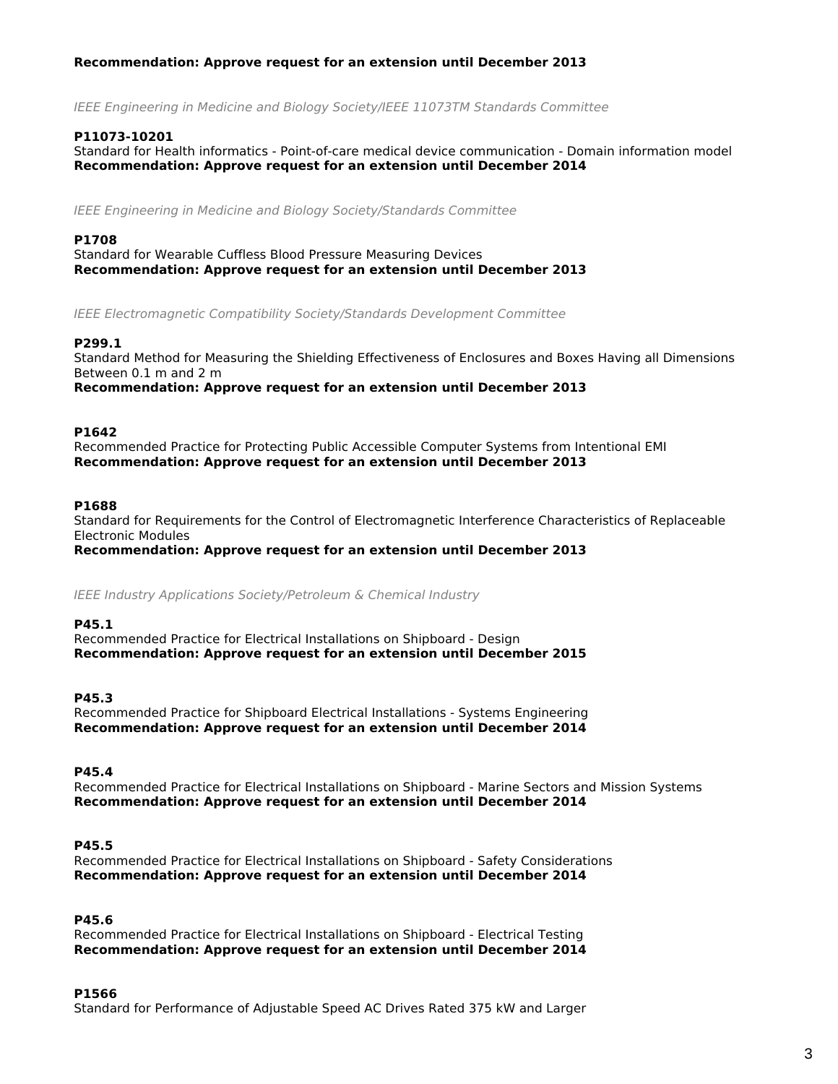## *Recommendation: Approve request for an extension until December 2013*

*IEEE Engineering in Medicine and Biology Society/IEEE 11073TM Standards Committee*

## **P11073-10201**

Standard for Health informatics - Point-of-care medical device communication - Domain information model *Recommendation: Approve request for an extension until December 2014*

*IEEE Engineering in Medicine and Biology Society/Standards Committee*

## **P1708**

Standard for Wearable Cuffless Blood Pressure Measuring Devices *Recommendation: Approve request for an extension until December 2013*

*IEEE Electromagnetic Compatibility Society/Standards Development Committee*

## **P299.1**

Standard Method for Measuring the Shielding Effectiveness of Enclosures and Boxes Having all Dimensions Between 0.1 m and 2 m

*Recommendation: Approve request for an extension until December 2013*

#### **P1642**

Recommended Practice for Protecting Public Accessible Computer Systems from Intentional EMI *Recommendation: Approve request for an extension until December 2013*

### **P1688**

Standard for Requirements for the Control of Electromagnetic Interference Characteristics of Replaceable Electronic Modules

*Recommendation: Approve request for an extension until December 2013*

*IEEE Industry Applications Society/Petroleum & Chemical Industry*

#### **P45.1**

Recommended Practice for Electrical Installations on Shipboard - Design *Recommendation: Approve request for an extension until December 2015*

#### **P45.3**

Recommended Practice for Shipboard Electrical Installations - Systems Engineering *Recommendation: Approve request for an extension until December 2014*

**P45.4**

Recommended Practice for Electrical Installations on Shipboard - Marine Sectors and Mission Systems *Recommendation: Approve request for an extension until December 2014*

## **P45.5**

Recommended Practice for Electrical Installations on Shipboard - Safety Considerations *Recommendation: Approve request for an extension until December 2014*

#### **P45.6**

Recommended Practice for Electrical Installations on Shipboard - Electrical Testing *Recommendation: Approve request for an extension until December 2014*

#### **P1566**

Standard for Performance of Adjustable Speed AC Drives Rated 375 kW and Larger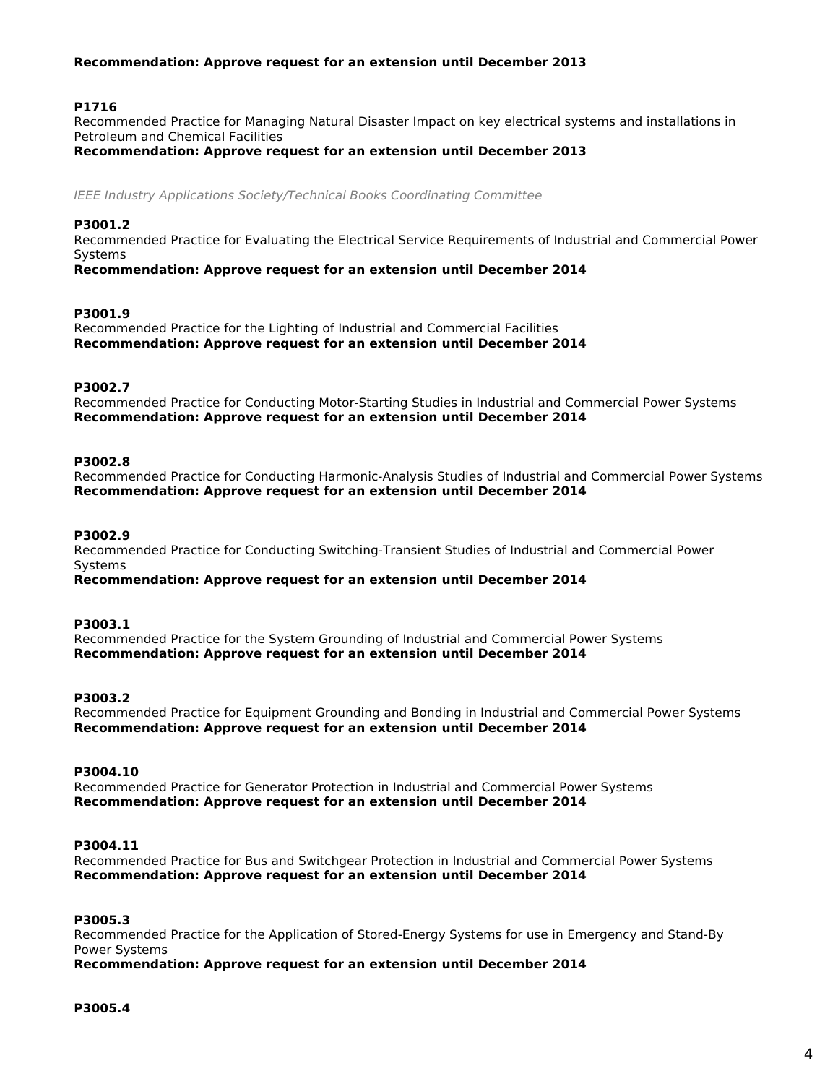## *Recommendation: Approve request for an extension until December 2013*

## **P1716**

Recommended Practice for Managing Natural Disaster Impact on key electrical systems and installations in Petroleum and Chemical Facilities

*Recommendation: Approve request for an extension until December 2013*

*IEEE Industry Applications Society/Technical Books Coordinating Committee*

#### **P3001.2**

Recommended Practice for Evaluating the Electrical Service Requirements of Industrial and Commercial Power Systems

*Recommendation: Approve request for an extension until December 2014*

#### **P3001.9**

Recommended Practice for the Lighting of Industrial and Commercial Facilities *Recommendation: Approve request for an extension until December 2014*

### **P3002.7**

Recommended Practice for Conducting Motor-Starting Studies in Industrial and Commercial Power Systems *Recommendation: Approve request for an extension until December 2014*

#### **P3002.8**

Recommended Practice for Conducting Harmonic-Analysis Studies of Industrial and Commercial Power Systems *Recommendation: Approve request for an extension until December 2014*

#### **P3002.9**

Recommended Practice for Conducting Switching-Transient Studies of Industrial and Commercial Power Systems

*Recommendation: Approve request for an extension until December 2014*

### **P3003.1**

Recommended Practice for the System Grounding of Industrial and Commercial Power Systems *Recommendation: Approve request for an extension until December 2014*

#### **P3003.2**

Recommended Practice for Equipment Grounding and Bonding in Industrial and Commercial Power Systems *Recommendation: Approve request for an extension until December 2014*

#### **P3004.10**

Recommended Practice for Generator Protection in Industrial and Commercial Power Systems *Recommendation: Approve request for an extension until December 2014*

## **P3004.11**

Recommended Practice for Bus and Switchgear Protection in Industrial and Commercial Power Systems *Recommendation: Approve request for an extension until December 2014*

#### **P3005.3**

Recommended Practice for the Application of Stored-Energy Systems for use in Emergency and Stand-By Power Systems

*Recommendation: Approve request for an extension until December 2014*

## **P3005.4**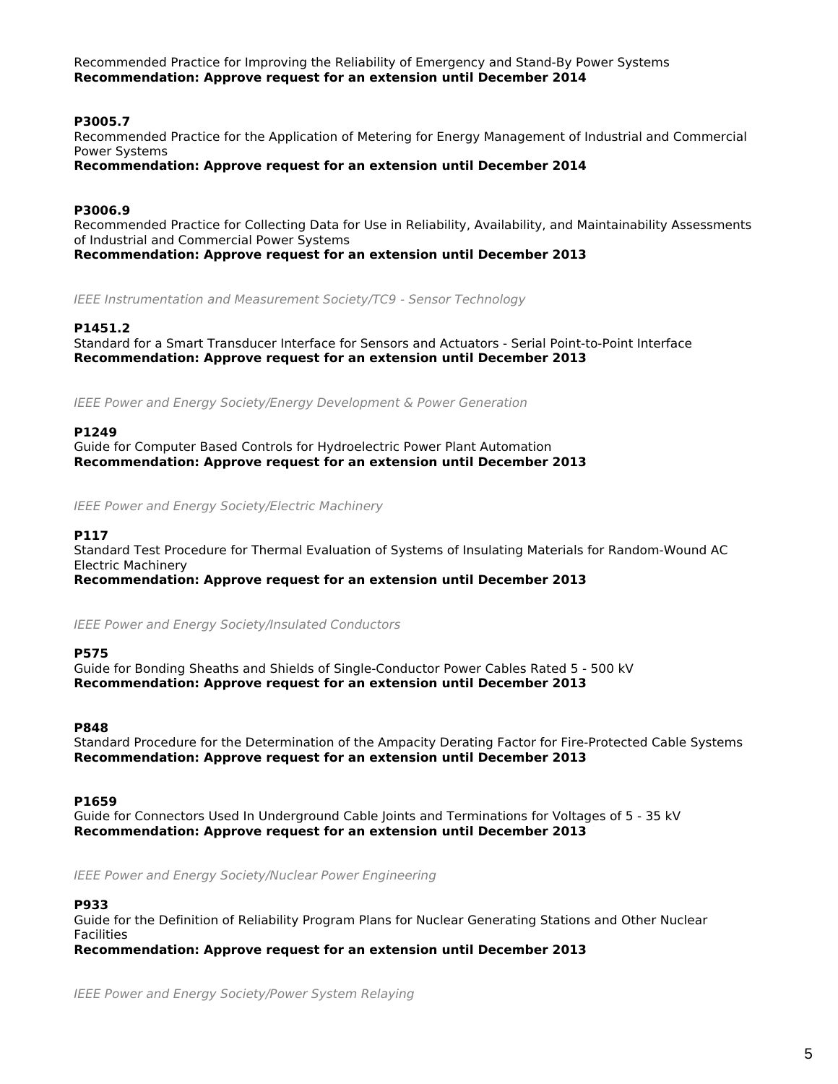Recommended Practice for Improving the Reliability of Emergency and Stand-By Power Systems *Recommendation: Approve request for an extension until December 2014*

## **P3005.7**

Recommended Practice for the Application of Metering for Energy Management of Industrial and Commercial Power Systems

*Recommendation: Approve request for an extension until December 2014*

## **P3006.9**

Recommended Practice for Collecting Data for Use in Reliability, Availability, and Maintainability Assessments of Industrial and Commercial Power Systems

*Recommendation: Approve request for an extension until December 2013*

*IEEE Instrumentation and Measurement Society/TC9 - Sensor Technology*

## **P1451.2**

Standard for a Smart Transducer Interface for Sensors and Actuators - Serial Point-to-Point Interface *Recommendation: Approve request for an extension until December 2013*

*IEEE Power and Energy Society/Energy Development & Power Generation*

## **P1249**

Guide for Computer Based Controls for Hydroelectric Power Plant Automation *Recommendation: Approve request for an extension until December 2013*

*IEEE Power and Energy Society/Electric Machinery*

#### **P117**

Standard Test Procedure for Thermal Evaluation of Systems of Insulating Materials for Random-Wound AC Electric Machinery

*Recommendation: Approve request for an extension until December 2013*

*IEEE Power and Energy Society/Insulated Conductors*

#### **P575**

Guide for Bonding Sheaths and Shields of Single-Conductor Power Cables Rated 5 - 500 kV *Recommendation: Approve request for an extension until December 2013*

#### **P848**

Standard Procedure for the Determination of the Ampacity Derating Factor for Fire-Protected Cable Systems *Recommendation: Approve request for an extension until December 2013*

#### **P1659**

Guide for Connectors Used In Underground Cable Joints and Terminations for Voltages of 5 - 35 kV *Recommendation: Approve request for an extension until December 2013*

*IEEE Power and Energy Society/Nuclear Power Engineering*

#### **P933**

Guide for the Definition of Reliability Program Plans for Nuclear Generating Stations and Other Nuclear Facilities

*Recommendation: Approve request for an extension until December 2013*

*IEEE Power and Energy Society/Power System Relaying*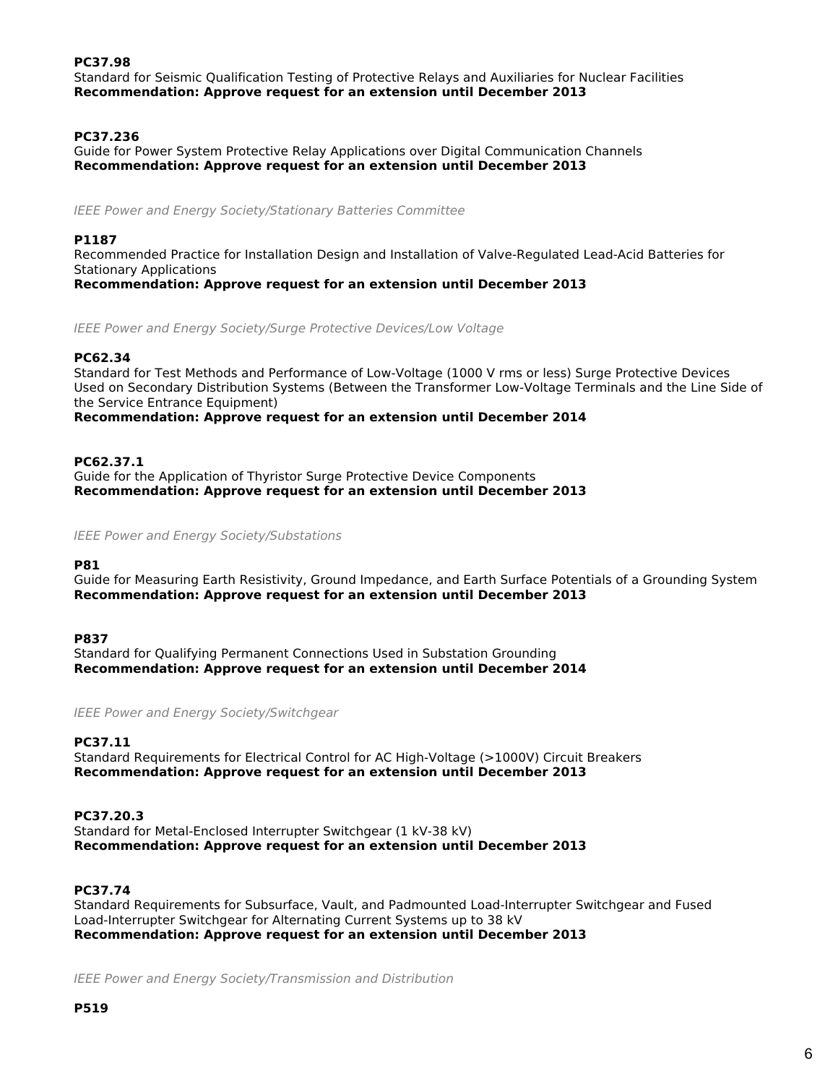## **PC37.98**

Standard for Seismic Qualification Testing of Protective Relays and Auxiliaries for Nuclear Facilities *Recommendation: Approve request for an extension until December 2013*

## **PC37.236**

Guide for Power System Protective Relay Applications over Digital Communication Channels *Recommendation: Approve request for an extension until December 2013*

*IEEE Power and Energy Society/Stationary Batteries Committee*

## **P1187**

Recommended Practice for Installation Design and Installation of Valve-Regulated Lead-Acid Batteries for Stationary Applications *Recommendation: Approve request for an extension until December 2013*

*IEEE Power and Energy Society/Surge Protective Devices/Low Voltage*

## **PC62.34**

Standard for Test Methods and Performance of Low-Voltage (1000 V rms or less) Surge Protective Devices Used on Secondary Distribution Systems (Between the Transformer Low-Voltage Terminals and the Line Side of the Service Entrance Equipment)

*Recommendation: Approve request for an extension until December 2014*

## **PC62.37.1**

Guide for the Application of Thyristor Surge Protective Device Components *Recommendation: Approve request for an extension until December 2013*

*IEEE Power and Energy Society/Substations*

#### **P81**

Guide for Measuring Earth Resistivity, Ground Impedance, and Earth Surface Potentials of a Grounding System *Recommendation: Approve request for an extension until December 2013*

#### **P837**

Standard for Qualifying Permanent Connections Used in Substation Grounding *Recommendation: Approve request for an extension until December 2014*

*IEEE Power and Energy Society/Switchgear*

#### **PC37.11**

Standard Requirements for Electrical Control for AC High-Voltage (>1000V) Circuit Breakers *Recommendation: Approve request for an extension until December 2013*

**PC37.20.3** Standard for Metal-Enclosed Interrupter Switchgear (1 kV-38 kV) *Recommendation: Approve request for an extension until December 2013*

## **PC37.74**

Standard Requirements for Subsurface, Vault, and Padmounted Load-Interrupter Switchgear and Fused Load-Interrupter Switchgear for Alternating Current Systems up to 38 kV *Recommendation: Approve request for an extension until December 2013*

*IEEE Power and Energy Society/Transmission and Distribution*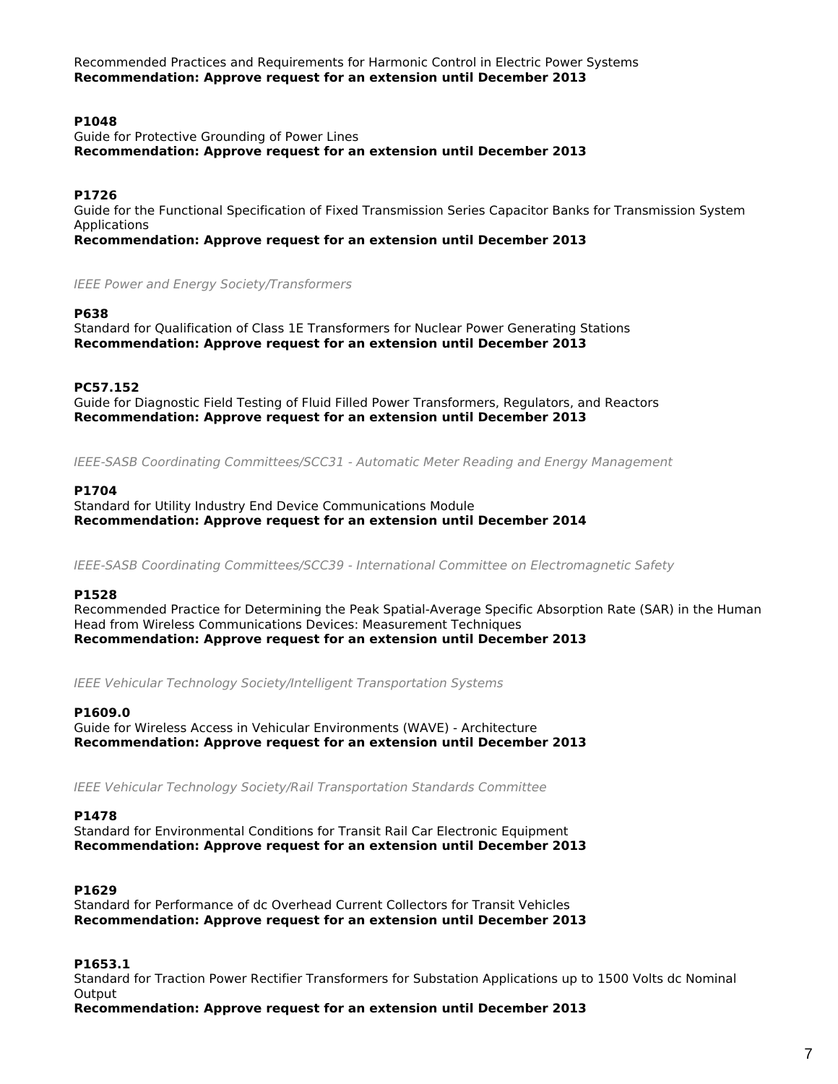Recommended Practices and Requirements for Harmonic Control in Electric Power Systems *Recommendation: Approve request for an extension until December 2013*

## **P1048**

Guide for Protective Grounding of Power Lines *Recommendation: Approve request for an extension until December 2013*

## **P1726**

Guide for the Functional Specification of Fixed Transmission Series Capacitor Banks for Transmission System Applications

*Recommendation: Approve request for an extension until December 2013*

*IEEE Power and Energy Society/Transformers*

#### **P638**

Standard for Qualification of Class 1E Transformers for Nuclear Power Generating Stations *Recommendation: Approve request for an extension until December 2013*

#### **PC57.152**

Guide for Diagnostic Field Testing of Fluid Filled Power Transformers, Regulators, and Reactors *Recommendation: Approve request for an extension until December 2013*

*IEEE-SASB Coordinating Committees/SCC31 - Automatic Meter Reading and Energy Management*

#### **P1704**

Standard for Utility Industry End Device Communications Module *Recommendation: Approve request for an extension until December 2014*

*IEEE-SASB Coordinating Committees/SCC39 - International Committee on Electromagnetic Safety*

#### **P1528**

Recommended Practice for Determining the Peak Spatial-Average Specific Absorption Rate (SAR) in the Human Head from Wireless Communications Devices: Measurement Techniques *Recommendation: Approve request for an extension until December 2013*

*IEEE Vehicular Technology Society/Intelligent Transportation Systems*

#### **P1609.0**

Guide for Wireless Access in Vehicular Environments (WAVE) - Architecture *Recommendation: Approve request for an extension until December 2013*

*IEEE Vehicular Technology Society/Rail Transportation Standards Committee*

#### **P1478**

Standard for Environmental Conditions for Transit Rail Car Electronic Equipment *Recommendation: Approve request for an extension until December 2013*

## **P1629**

Standard for Performance of dc Overhead Current Collectors for Transit Vehicles *Recommendation: Approve request for an extension until December 2013*

## **P1653.1**

Standard for Traction Power Rectifier Transformers for Substation Applications up to 1500 Volts dc Nominal **Output** 

*Recommendation: Approve request for an extension until December 2013*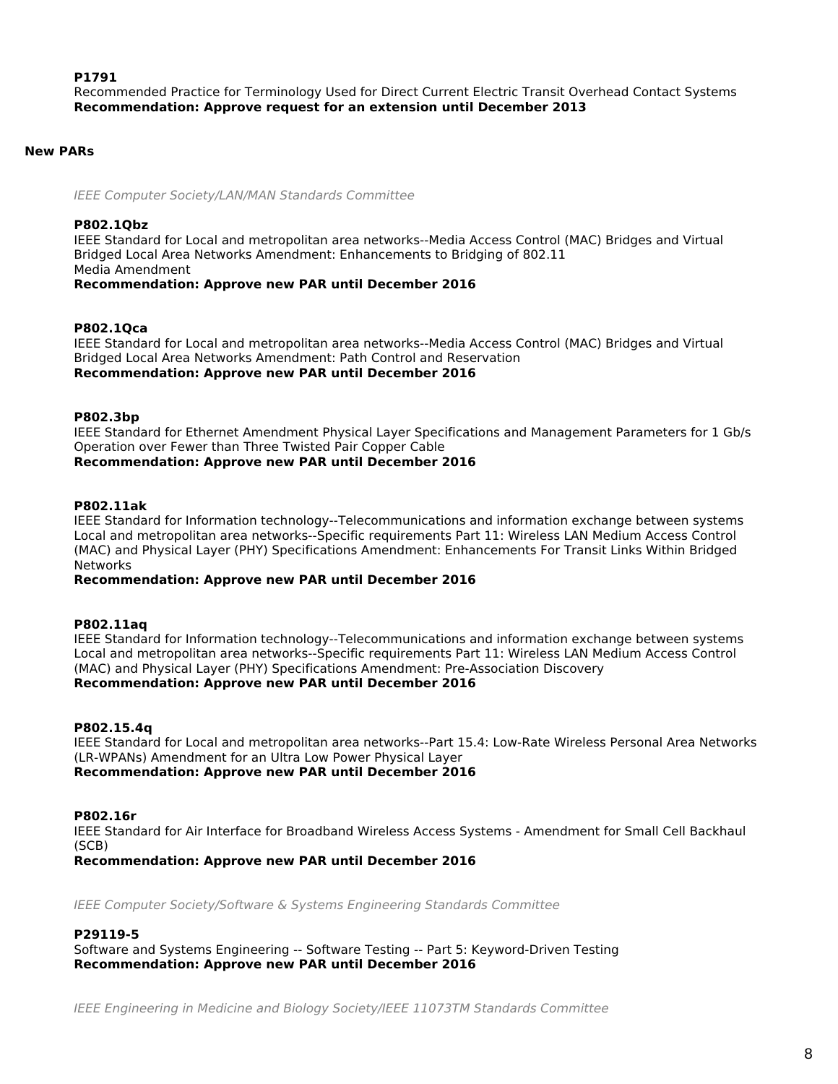## **P1791**

Recommended Practice for Terminology Used for Direct Current Electric Transit Overhead Contact Systems *Recommendation: Approve request for an extension until December 2013*

## **New PARs**

*IEEE Computer Society/LAN/MAN Standards Committee*

#### **P802.1Qbz**

IEEE Standard for Local and metropolitan area networks--Media Access Control (MAC) Bridges and Virtual Bridged Local Area Networks Amendment: Enhancements to Bridging of 802.11 Media Amendment

*Recommendation: Approve new PAR until December 2016*

#### **P802.1Qca**

IEEE Standard for Local and metropolitan area networks--Media Access Control (MAC) Bridges and Virtual Bridged Local Area Networks Amendment: Path Control and Reservation *Recommendation: Approve new PAR until December 2016*

#### **P802.3bp**

IEEE Standard for Ethernet Amendment Physical Layer Specifications and Management Parameters for 1 Gb/s Operation over Fewer than Three Twisted Pair Copper Cable *Recommendation: Approve new PAR until December 2016*

### **P802.11ak**

IEEE Standard for Information technology--Telecommunications and information exchange between systems Local and metropolitan area networks--Specific requirements Part 11: Wireless LAN Medium Access Control (MAC) and Physical Layer (PHY) Specifications Amendment: Enhancements For Transit Links Within Bridged Networks

## *Recommendation: Approve new PAR until December 2016*

## **P802.11aq**

IEEE Standard for Information technology--Telecommunications and information exchange between systems Local and metropolitan area networks--Specific requirements Part 11: Wireless LAN Medium Access Control (MAC) and Physical Layer (PHY) Specifications Amendment: Pre-Association Discovery *Recommendation: Approve new PAR until December 2016*

#### **P802.15.4q**

IEEE Standard for Local and metropolitan area networks--Part 15.4: Low-Rate Wireless Personal Area Networks (LR-WPANs) Amendment for an Ultra Low Power Physical Layer

*Recommendation: Approve new PAR until December 2016*

#### **P802.16r**

IEEE Standard for Air Interface for Broadband Wireless Access Systems - Amendment for Small Cell Backhaul (SCB)

*Recommendation: Approve new PAR until December 2016*

*IEEE Computer Society/Software & Systems Engineering Standards Committee*

#### **P29119-5**

Software and Systems Engineering -- Software Testing -- Part 5: Keyword-Driven Testing *Recommendation: Approve new PAR until December 2016*

*IEEE Engineering in Medicine and Biology Society/IEEE 11073TM Standards Committee*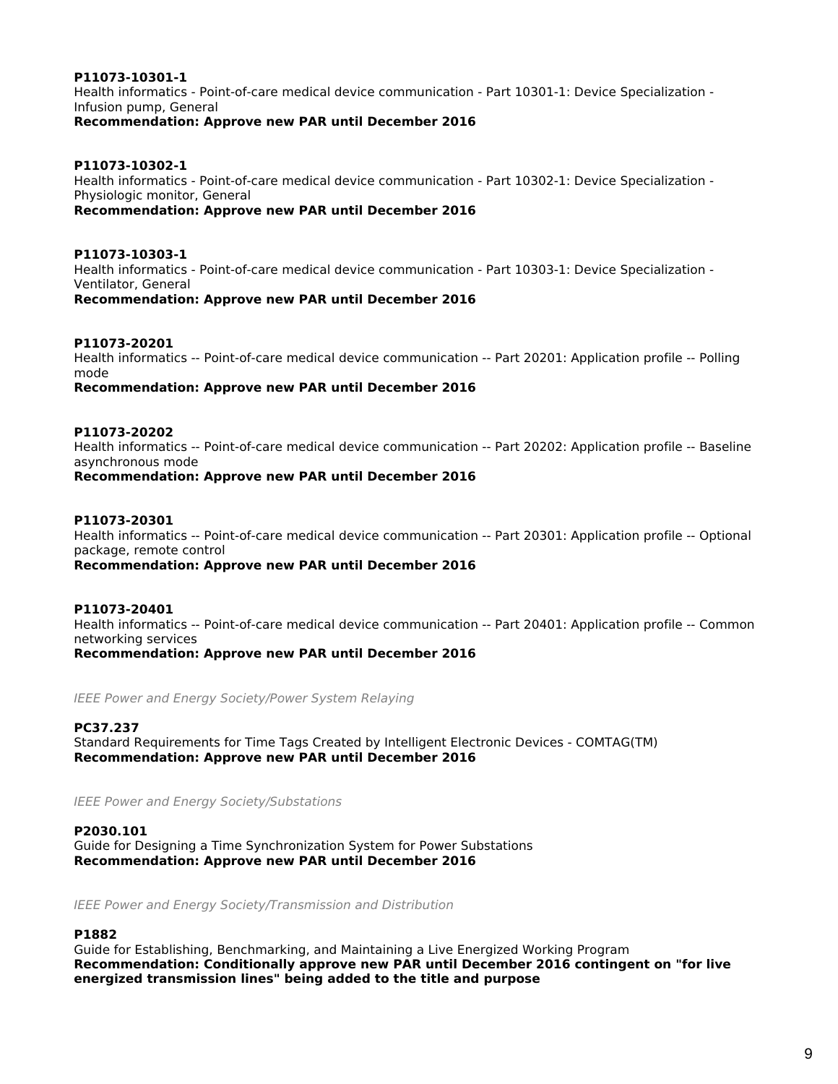## **P11073-10301-1**

Health informatics - Point-of-care medical device communication - Part 10301-1: Device Specialization - Infusion pump, General

*Recommendation: Approve new PAR until December 2016*

## **P11073-10302-1**

Health informatics - Point-of-care medical device communication - Part 10302-1: Device Specialization - Physiologic monitor, General *Recommendation: Approve new PAR until December 2016*

**P11073-10303-1** Health informatics - Point-of-care medical device communication - Part 10303-1: Device Specialization - Ventilator, General

*Recommendation: Approve new PAR until December 2016*

#### **P11073-20201**

Health informatics -- Point-of-care medical device communication -- Part 20201: Application profile -- Polling mode

*Recommendation: Approve new PAR until December 2016*

## **P11073-20202**

Health informatics -- Point-of-care medical device communication -- Part 20202: Application profile -- Baseline asynchronous mode

*Recommendation: Approve new PAR until December 2016*

### **P11073-20301**

Health informatics -- Point-of-care medical device communication -- Part 20301: Application profile -- Optional package, remote control

*Recommendation: Approve new PAR until December 2016*

## **P11073-20401**

Health informatics -- Point-of-care medical device communication -- Part 20401: Application profile -- Common networking services

*Recommendation: Approve new PAR until December 2016*

*IEEE Power and Energy Society/Power System Relaying*

#### **PC37.237**

Standard Requirements for Time Tags Created by Intelligent Electronic Devices - COMTAG(TM) *Recommendation: Approve new PAR until December 2016*

*IEEE Power and Energy Society/Substations*

#### **P2030.101**

Guide for Designing a Time Synchronization System for Power Substations *Recommendation: Approve new PAR until December 2016*

*IEEE Power and Energy Society/Transmission and Distribution*

## **P1882**

Guide for Establishing, Benchmarking, and Maintaining a Live Energized Working Program *Recommendation: Conditionally approve new PAR until December 2016 contingent on "for live energized transmission lines" being added to the title and purpose*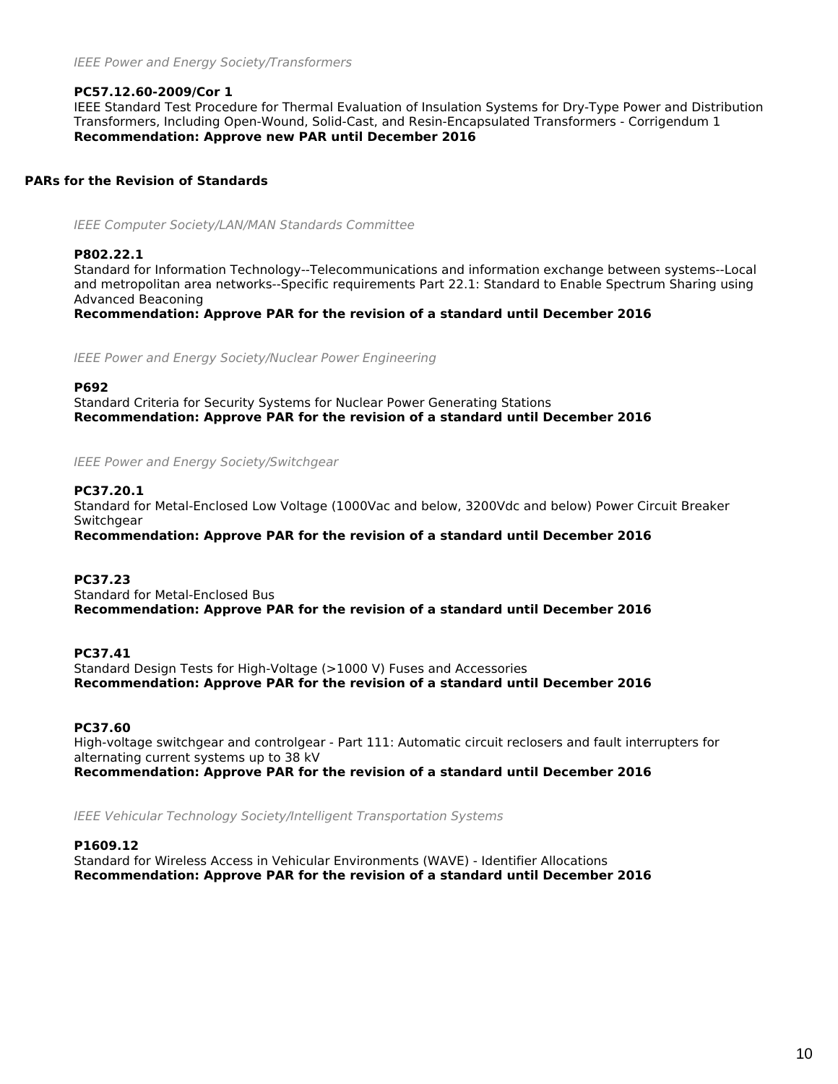## **PC57.12.60-2009/Cor 1**

IEEE Standard Test Procedure for Thermal Evaluation of Insulation Systems for Dry-Type Power and Distribution Transformers, Including Open-Wound, Solid-Cast, and Resin-Encapsulated Transformers - Corrigendum 1 *Recommendation: Approve new PAR until December 2016*

## **PARs for the Revision of Standards**

*IEEE Computer Society/LAN/MAN Standards Committee*

## **P802.22.1**

Standard for Information Technology--Telecommunications and information exchange between systems--Local and metropolitan area networks--Specific requirements Part 22.1: Standard to Enable Spectrum Sharing using Advanced Beaconing

*Recommendation: Approve PAR for the revision of a standard until December 2016*

*IEEE Power and Energy Society/Nuclear Power Engineering*

#### **P692**

Standard Criteria for Security Systems for Nuclear Power Generating Stations *Recommendation: Approve PAR for the revision of a standard until December 2016*

*IEEE Power and Energy Society/Switchgear*

## **PC37.20.1**

Standard for Metal-Enclosed Low Voltage (1000Vac and below, 3200Vdc and below) Power Circuit Breaker **Switchgear** 

*Recommendation: Approve PAR for the revision of a standard until December 2016*

#### **PC37.23**

Standard for Metal-Enclosed Bus *Recommendation: Approve PAR for the revision of a standard until December 2016*

## **PC37.41**

Standard Design Tests for High-Voltage (>1000 V) Fuses and Accessories *Recommendation: Approve PAR for the revision of a standard until December 2016*

## **PC37.60**

High-voltage switchgear and controlgear - Part 111: Automatic circuit reclosers and fault interrupters for alternating current systems up to 38 kV *Recommendation: Approve PAR for the revision of a standard until December 2016*

*IEEE Vehicular Technology Society/Intelligent Transportation Systems*

## **P1609.12**

Standard for Wireless Access in Vehicular Environments (WAVE) - Identifier Allocations *Recommendation: Approve PAR for the revision of a standard until December 2016*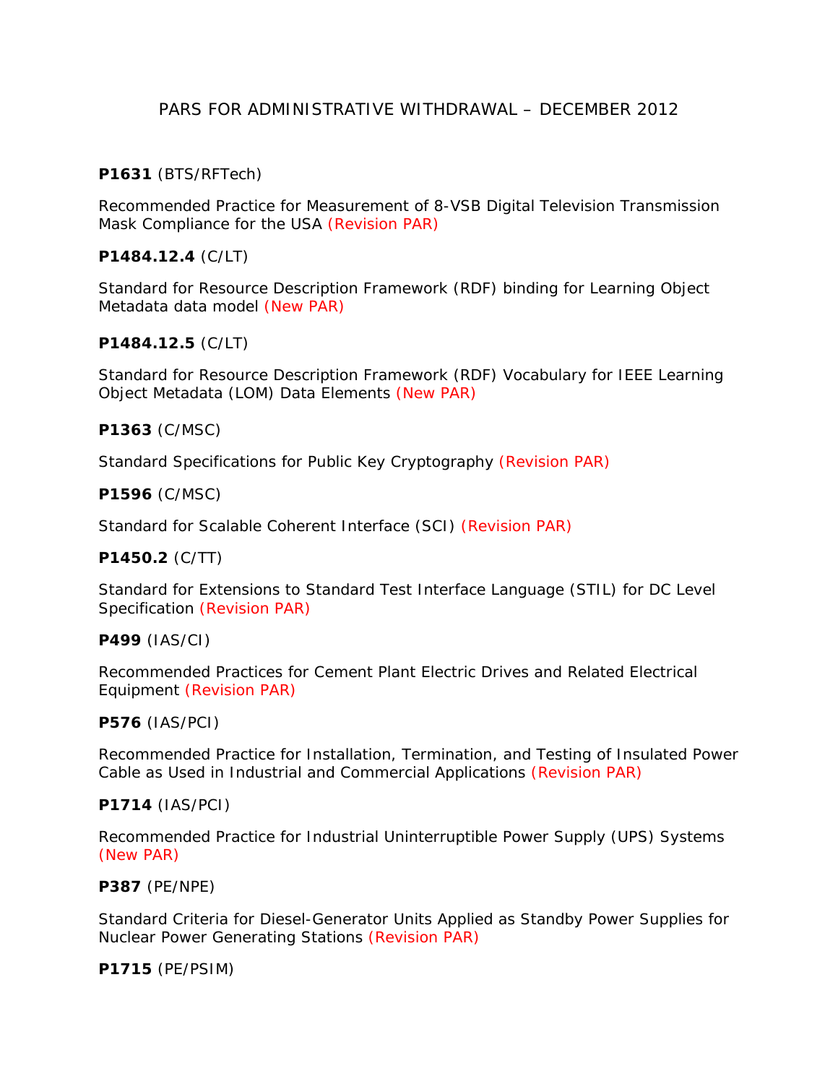# PARS FOR ADMINISTRATIVE WITHDRAWAL – DECEMBER 2012

# **P1631** (BTS/RFTech)

Recommended Practice for Measurement of 8-VSB Digital Television Transmission Mask Compliance for the USA (Revision PAR)

# **P1484.12.4** (C/LT)

Standard for Resource Description Framework (RDF) binding for Learning Object Metadata data model (New PAR)

## **P1484.12.5** (C/LT)

Standard for Resource Description Framework (RDF) Vocabulary for IEEE Learning Object Metadata (LOM) Data Elements (New PAR)

## **P1363** (C/MSC)

Standard Specifications for Public Key Cryptography (Revision PAR)

## **P1596** (C/MSC)

Standard for Scalable Coherent Interface (SCI) (Revision PAR)

## **P1450.2** (C/TT)

Standard for Extensions to Standard Test Interface Language (STIL) for DC Level Specification (Revision PAR)

## **P499** (IAS/CI)

Recommended Practices for Cement Plant Electric Drives and Related Electrical Equipment (Revision PAR)

## **P576** (IAS/PCI)

Recommended Practice for Installation, Termination, and Testing of Insulated Power Cable as Used in Industrial and Commercial Applications (Revision PAR)

## **P1714** (IAS/PCI)

Recommended Practice for Industrial Uninterruptible Power Supply (UPS) Systems (New PAR)

## **P387** (PE/NPE)

Standard Criteria for Diesel-Generator Units Applied as Standby Power Supplies for Nuclear Power Generating Stations (Revision PAR)

## **P1715** (PE/PSIM)